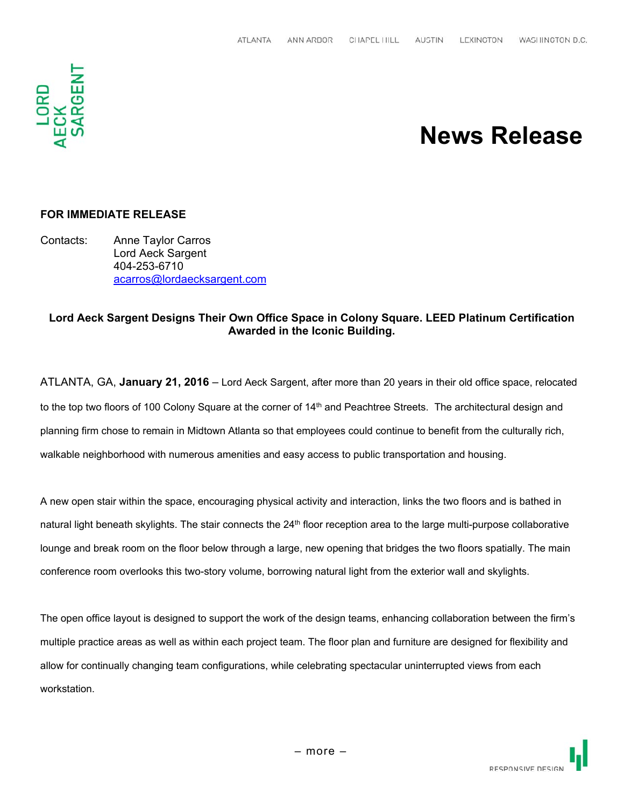

## **News Release**

#### **FOR IMMEDIATE RELEASE**

Contacts: Anne Taylor Carros Lord Aeck Sargent 404-253-6710 acarros@lordaecksargent.com

### **Lord Aeck Sargent Designs Their Own Office Space in Colony Square. LEED Platinum Certification Awarded in the Iconic Building.**

ATLANTA, GA, **January 21, 2016** – Lord Aeck Sargent, after more than 20 years in their old office space, relocated to the top two floors of 100 Colony Square at the corner of 14<sup>th</sup> and Peachtree Streets. The architectural design and planning firm chose to remain in Midtown Atlanta so that employees could continue to benefit from the culturally rich, walkable neighborhood with numerous amenities and easy access to public transportation and housing.

A new open stair within the space, encouraging physical activity and interaction, links the two floors and is bathed in natural light beneath skylights. The stair connects the  $24<sup>th</sup>$  floor reception area to the large multi-purpose collaborative lounge and break room on the floor below through a large, new opening that bridges the two floors spatially. The main conference room overlooks this two-story volume, borrowing natural light from the exterior wall and skylights.

The open office layout is designed to support the work of the design teams, enhancing collaboration between the firm's multiple practice areas as well as within each project team. The floor plan and furniture are designed for flexibility and allow for continually changing team configurations, while celebrating spectacular uninterrupted views from each workstation.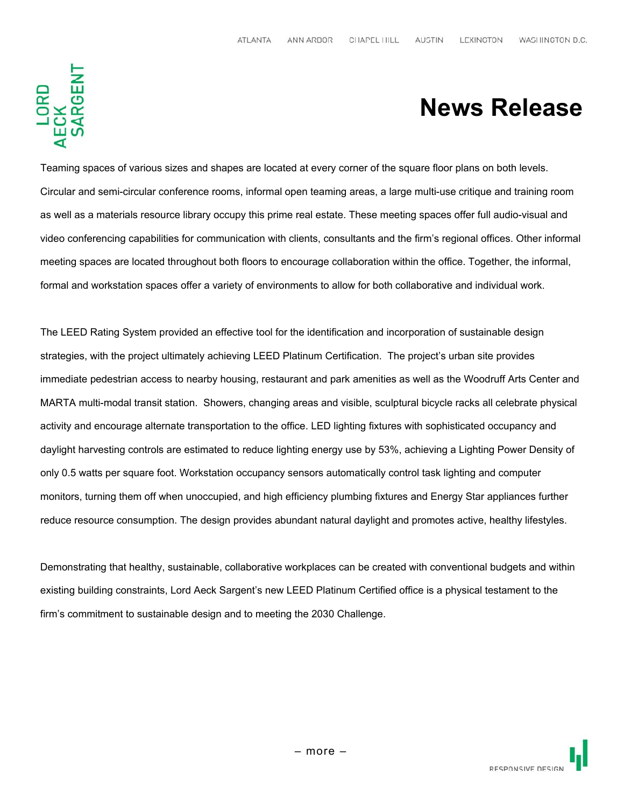# 

## **News Release**

Teaming spaces of various sizes and shapes are located at every corner of the square floor plans on both levels. Circular and semi-circular conference rooms, informal open teaming areas, a large multi-use critique and training room as well as a materials resource library occupy this prime real estate. These meeting spaces offer full audio-visual and video conferencing capabilities for communication with clients, consultants and the firm's regional offices. Other informal meeting spaces are located throughout both floors to encourage collaboration within the office. Together, the informal, formal and workstation spaces offer a variety of environments to allow for both collaborative and individual work.

The LEED Rating System provided an effective tool for the identification and incorporation of sustainable design strategies, with the project ultimately achieving LEED Platinum Certification. The project's urban site provides immediate pedestrian access to nearby housing, restaurant and park amenities as well as the Woodruff Arts Center and MARTA multi-modal transit station. Showers, changing areas and visible, sculptural bicycle racks all celebrate physical activity and encourage alternate transportation to the office. LED lighting fixtures with sophisticated occupancy and daylight harvesting controls are estimated to reduce lighting energy use by 53%, achieving a Lighting Power Density of only 0.5 watts per square foot. Workstation occupancy sensors automatically control task lighting and computer monitors, turning them off when unoccupied, and high efficiency plumbing fixtures and Energy Star appliances further reduce resource consumption. The design provides abundant natural daylight and promotes active, healthy lifestyles.

Demonstrating that healthy, sustainable, collaborative workplaces can be created with conventional budgets and within existing building constraints, Lord Aeck Sargent's new LEED Platinum Certified office is a physical testament to the firm's commitment to sustainable design and to meeting the 2030 Challenge.